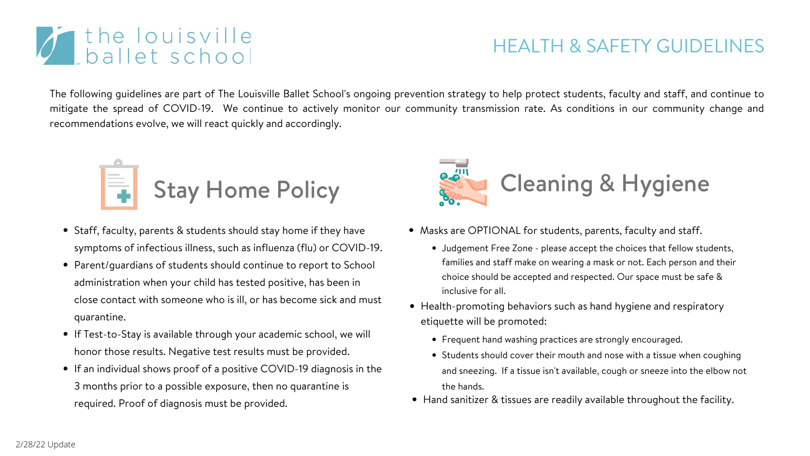## HEALTH & SAFETY GUIDELINES







- Staff, faculty, parents & students should stay home if they have symptoms of infectious illness, such as influenza (flu) or COVID-19.
- Parent/guardians of students should continue to report to School administration when your child has tested positive, has been in close contact with someone who is ill, or has become sick and must quarantine.
- If Test-to-Stay is available through your academic school, we will honor those results. Negative test results must be provided.
- If an individual shows proof of a positive COVID-19 diagnosis in the 3 months prior to a possible exposure, then no quarantine is required. Proof of diagnosis must be provided.



## Cleaning & Hygiene

Masks are OPTIONAL for students, parents, faculty and staff.

Frequent hand washing practices are strongly encouraged.

Students should cover their mouth and nose with a tissue when coughing

and sneezing. If a tissue isn't available, cough or sneeze into the elbow not

Hand sanitizer & tissues are readily available throughout the facility.

The following guidelines are part of The Louisville Ballet School's ongoing prevention strategy to help protect students, faculty and staff, and continue to mitigate the spread of COVID-19. We continue to actively monitor our community transmission rate. As conditions in our community change and recommendations evolve, we will react quickly and accordingly.

- inclusive for all.
- etiquette will be promoted:
	-
	- the hands.
- 

## *i* the louisville

Judgement Free Zone - please accept the choices that fellow students, families and staff make on wearing a mask or not. Each person and their choice should be accepted and respected. Our space must be safe &

• Health-promoting behaviors such as hand hygiene and respiratory